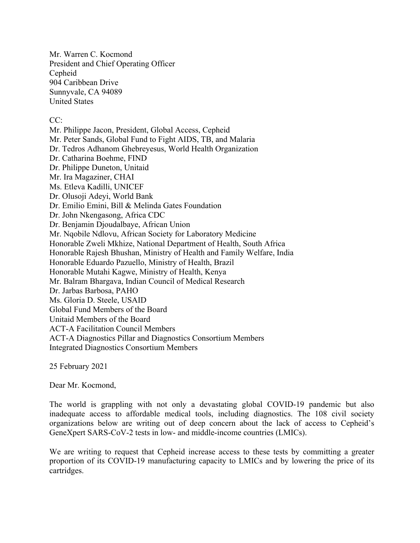Mr. Warren C. Kocmond President and Chief Operating Officer Cepheid 904 Caribbean Drive Sunnyvale, CA 94089 United States

## CC:

Mr. Philippe Jacon, President, Global Access, Cepheid Mr. Peter Sands, Global Fund to Fight AIDS, TB, and Malaria Dr. Tedros Adhanom Ghebreyesus, World Health Organization Dr. Catharina Boehme, FIND Dr. Philippe Duneton, Unitaid Mr. Ira Magaziner, CHAI Ms. Etleva Kadilli, UNICEF Dr. Olusoji Adeyi, World Bank Dr. Emilio Emini, Bill & Melinda Gates Foundation Dr. John Nkengasong, Africa CDC Dr. Benjamin Djoudalbaye, African Union Mr. Nqobile Ndlovu, African Society for Laboratory Medicine Honorable Zweli Mkhize, National Department of Health, South Africa Honorable Rajesh Bhushan, Ministry of Health and Family Welfare, India Honorable Eduardo Pazuello, Ministry of Health, Brazil Honorable Mutahi Kagwe, Ministry of Health, Kenya Mr. Balram Bhargava, Indian Council of Medical Research Dr. Jarbas Barbosa, PAHO Ms. Gloria D. Steele, USAID Global Fund Members of the Board Unitaid Members of the Board ACT-A Facilitation Council Members ACT-A Diagnostics Pillar and Diagnostics Consortium Members Integrated Diagnostics Consortium Members

25 February 2021

Dear Mr. Kocmond,

The world is grappling with not only a devastating global COVID-19 pandemic but also inadequate access to affordable medical tools, including diagnostics. The 108 civil society organizations below are writing out of deep concern about the lack of access to Cepheid's GeneXpert SARS-CoV-2 tests in low- and middle-income countries (LMICs).

We are writing to request that Cepheid increase access to these tests by committing a greater proportion of its COVID-19 manufacturing capacity to LMICs and by lowering the price of its cartridges.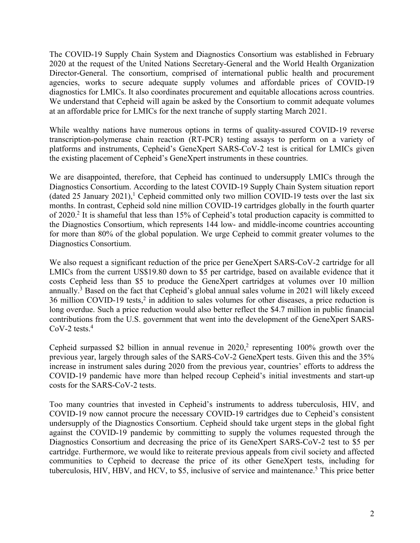The COVID-19 Supply Chain System and Diagnostics Consortium was established in February 2020 at the request of the United Nations Secretary-General and the World Health Organization Director-General. The consortium, comprised of international public health and procurement agencies, works to secure adequate supply volumes and affordable prices of COVID-19 diagnostics for LMICs. It also coordinates procurement and equitable allocations across countries. We understand that Cepheid will again be asked by the Consortium to commit adequate volumes at an affordable price for LMICs for the next tranche of supply starting March 2021.

While wealthy nations have numerous options in terms of quality-assured COVID-19 reverse transcription-polymerase chain reaction (RT-PCR) testing assays to perform on a variety of platforms and instruments, Cepheid's GeneXpert SARS-CoV-2 test is critical for LMICs given the existing placement of Cepheid's GeneXpert instruments in these countries.

We are disappointed, therefore, that Cepheid has continued to undersupply LMICs through the Diagnostics Consortium. According to the latest COVID-19 Supply Chain System situation report (dated 25 January 2021),<sup>1</sup> Cepheid committed only two million COVID-19 tests over the last six months. In contrast, Cepheid sold nine million COVID-19 cartridges globally in the fourth quarter of 2020. <sup>2</sup> It is shameful that less than 15% of Cepheid's total production capacity is committed to the Diagnostics Consortium, which represents 144 low- and middle-income countries accounting for more than 80% of the global population. We urge Cepheid to commit greater volumes to the Diagnostics Consortium.

We also request a significant reduction of the price per GeneXpert SARS-CoV-2 cartridge for all LMICs from the current US\$19.80 down to \$5 per cartridge, based on available evidence that it costs Cepheid less than \$5 to produce the GeneXpert cartridges at volumes over 10 million annually.<sup>3</sup> Based on the fact that Cepheid's global annual sales volume in 2021 will likely exceed 36 million COVID-19 tests,<sup>2</sup> in addition to sales volumes for other diseases, a price reduction is long overdue. Such a price reduction would also better reflect the \$4.7 million in public financial contributions from the U.S. government that went into the development of the GeneXpert SARS-CoV-2 tests. 4

Cepheid surpassed \$2 billion in annual revenue in 2020, <sup>2</sup> representing 100% growth over the previous year, largely through sales of the SARS-CoV-2 GeneXpert tests. Given this and the 35% increase in instrument sales during 2020 from the previous year, countries' efforts to address the COVID-19 pandemic have more than helped recoup Cepheid's initial investments and start-up costs for the SARS-CoV-2 tests.

Too many countries that invested in Cepheid's instruments to address tuberculosis, HIV, and COVID-19 now cannot procure the necessary COVID-19 cartridges due to Cepheid's consistent undersupply of the Diagnostics Consortium. Cepheid should take urgent steps in the global fight against the COVID-19 pandemic by committing to supply the volumes requested through the Diagnostics Consortium and decreasing the price of its GeneXpert SARS-CoV-2 test to \$5 per cartridge. Furthermore, we would like to reiterate previous appeals from civil society and affected communities to Cepheid to decrease the price of its other GeneXpert tests, including for tuberculosis, HIV, HBV, and HCV, to \$5, inclusive of service and maintenance.<sup>5</sup> This price better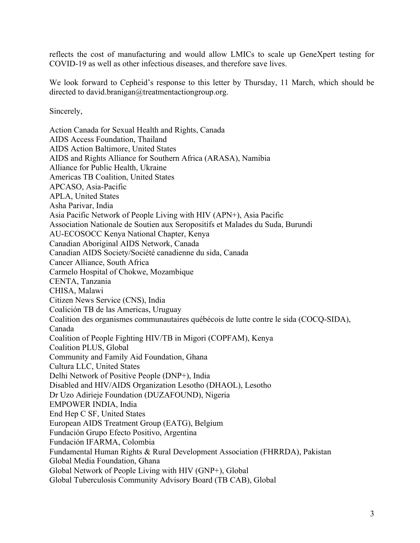reflects the cost of manufacturing and would allow LMICs to scale up GeneXpert testing for COVID-19 as well as other infectious diseases, and therefore save lives.

We look forward to Cepheid's response to this letter by Thursday, 11 March, which should be directed to david.branigan@treatmentactiongroup.org.

Sincerely,

Action Canada for Sexual Health and Rights, Canada AIDS Access Foundation, Thailand AIDS Action Baltimore, United States AIDS and Rights Alliance for Southern Africa (ARASA), Namibia Alliance for Public Health, Ukraine Americas TB Coalition, United States APCASO, Asia-Pacific APLA, United States Asha Parivar, India Asia Pacific Network of People Living with HIV (APN+), Asia Pacific Association Nationale de Soutien aux Seropositifs et Malades du Suda, Burundi AU-ECOSOCC Kenya National Chapter, Kenya Canadian Aboriginal AIDS Network, Canada Canadian AIDS Society/Société canadienne du sida, Canada Cancer Alliance, South Africa Carmelo Hospital of Chokwe, Mozambique CENTA, Tanzania CHISA, Malawi Citizen News Service (CNS), India Coalición TB de las Americas, Uruguay Coalition des organismes communautaires québécois de lutte contre le sida (COCQ-SIDA), Canada Coalition of People Fighting HIV/TB in Migori (COPFAM), Kenya Coalition PLUS, Global Community and Family Aid Foundation, Ghana Cultura LLC, United States Delhi Network of Positive People (DNP+), India Disabled and HIV/AIDS Organization Lesotho (DHAOL), Lesotho Dr Uzo Adirieje Foundation (DUZAFOUND), Nigeria EMPOWER INDIA, India End Hep C SF, United States European AIDS Treatment Group (EATG), Belgium Fundación Grupo Efecto Positivo, Argentina Fundación IFARMA, Colombia Fundamental Human Rights & Rural Development Association (FHRRDA), Pakistan Global Media Foundation, Ghana Global Network of People Living with HIV (GNP+), Global Global Tuberculosis Community Advisory Board (TB CAB), Global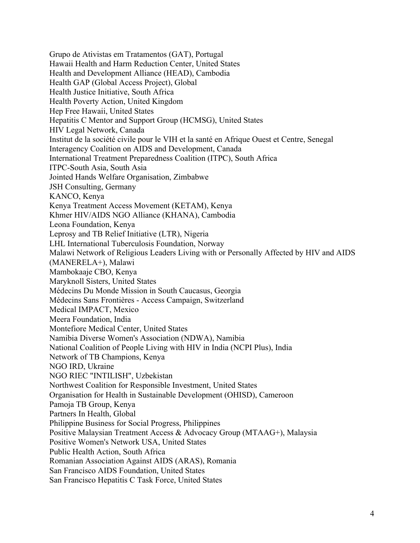Grupo de Ativistas em Tratamentos (GAT), Portugal Hawaii Health and Harm Reduction Center, United States Health and Development Alliance (HEAD), Cambodia Health GAP (Global Access Project), Global Health Justice Initiative, South Africa Health Poverty Action, United Kingdom Hep Free Hawaii, United States Hepatitis C Mentor and Support Group (HCMSG), United States HIV Legal Network, Canada Institut de la société civile pour le VIH et la santé en Afrique Ouest et Centre, Senegal Interagency Coalition on AIDS and Development, Canada International Treatment Preparedness Coalition (ITPC), South Africa ITPC-South Asia, South Asia Jointed Hands Welfare Organisation, Zimbabwe JSH Consulting, Germany KANCO, Kenya Kenya Treatment Access Movement (KETAM), Kenya Khmer HIV/AIDS NGO Alliance (KHANA), Cambodia Leona Foundation, Kenya Leprosy and TB Relief Initiative (LTR), Nigeria LHL International Tuberculosis Foundation, Norway Malawi Network of Religious Leaders Living with or Personally Affected by HIV and AIDS (MANERELA+), Malawi Mambokaaje CBO, Kenya Maryknoll Sisters, United States Médecins Du Monde Mission in South Caucasus, Georgia Médecins Sans Frontières - Access Campaign, Switzerland Medical IMPACT, Mexico Meera Foundation, India Montefiore Medical Center, United States Namibia Diverse Women's Association (NDWA), Namibia National Coalition of People Living with HIV in India (NCPI Plus), India Network of TB Champions, Kenya NGO IRD, Ukraine NGO RIEC "INTILISH", Uzbekistan Northwest Coalition for Responsible Investment, United States Organisation for Health in Sustainable Development (OHISD), Cameroon Pamoja TB Group, Kenya Partners In Health, Global Philippine Business for Social Progress, Philippines Positive Malaysian Treatment Access & Advocacy Group (MTAAG+), Malaysia Positive Women's Network USA, United States Public Health Action, South Africa Romanian Association Against AIDS (ARAS), Romania San Francisco AIDS Foundation, United States San Francisco Hepatitis C Task Force, United States